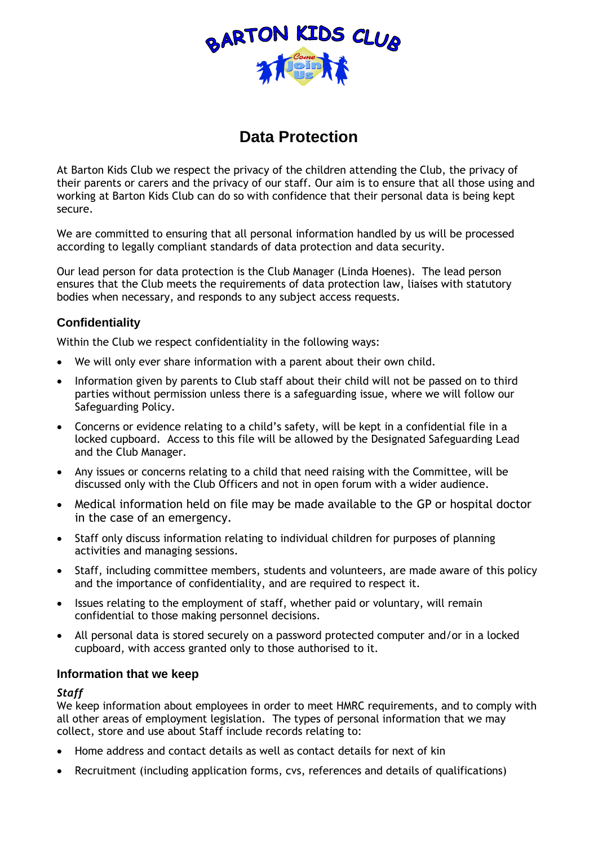

# **Data Protection**

At Barton Kids Club we respect the privacy of the children attending the Club, the privacy of their parents or carers and the privacy of our staff. Our aim is to ensure that all those using and working at Barton Kids Club can do so with confidence that their personal data is being kept secure.

We are committed to ensuring that all personal information handled by us will be processed according to legally compliant standards of data protection and data security.

Our lead person for data protection is the Club Manager (Linda Hoenes). The lead person ensures that the Club meets the requirements of data protection law, liaises with statutory bodies when necessary, and responds to any subject access requests.

## **Confidentiality**

Within the Club we respect confidentiality in the following ways:

- We will only ever share information with a parent about their own child.
- Information given by parents to Club staff about their child will not be passed on to third parties without permission unless there is a safeguarding issue, where we will follow our Safeguarding Policy.
- Concerns or evidence relating to a child's safety, will be kept in a confidential file in a locked cupboard. Access to this file will be allowed by the Designated Safeguarding Lead and the Club Manager.
- Any issues or concerns relating to a child that need raising with the Committee, will be discussed only with the Club Officers and not in open forum with a wider audience.
- Medical information held on file may be made available to the GP or hospital doctor in the case of an emergency.
- Staff only discuss information relating to individual children for purposes of planning activities and managing sessions.
- Staff, including committee members, students and volunteers, are made aware of this policy and the importance of confidentiality, and are required to respect it.
- Issues relating to the employment of staff, whether paid or voluntary, will remain confidential to those making personnel decisions.
- All personal data is stored securely on a password protected computer and/or in a locked cupboard, with access granted only to those authorised to it.

#### **Information that we keep**

#### *Staff*

We keep information about employees in order to meet HMRC requirements, and to comply with all other areas of employment legislation. The types of personal information that we may collect, store and use about Staff include records relating to:

- Home address and contact details as well as contact details for next of kin
- Recruitment (including application forms, cvs, references and details of qualifications)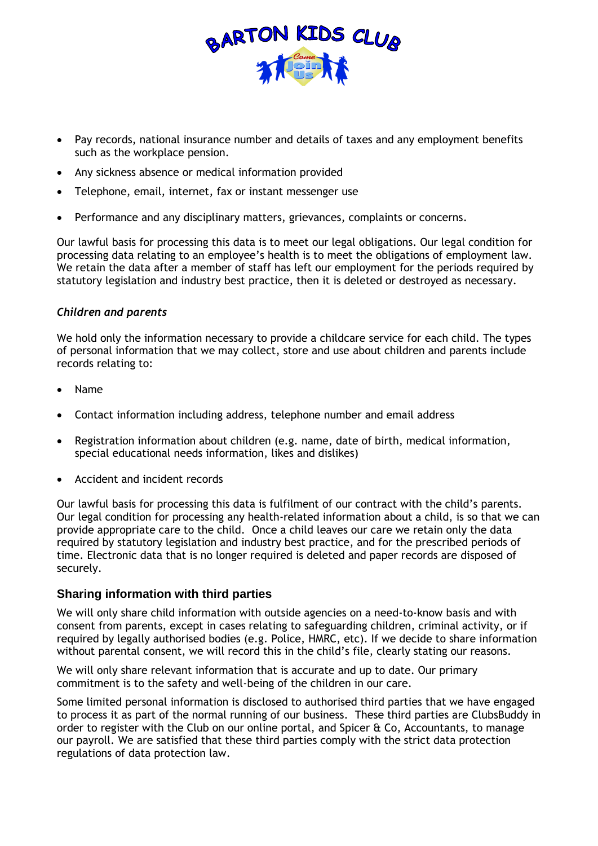

- Pay records, national insurance number and details of taxes and any employment benefits such as the workplace pension.
- Any sickness absence or medical information provided
- Telephone, email, internet, fax or instant messenger use
- Performance and any disciplinary matters, grievances, complaints or concerns.

Our lawful basis for processing this data is to meet our legal obligations. Our legal condition for processing data relating to an employee's health is to meet the obligations of employment law. We retain the data after a member of staff has left our employment for the periods required by statutory legislation and industry best practice, then it is deleted or destroyed as necessary.

#### *Children and parents*

We hold only the information necessary to provide a childcare service for each child. The types of personal information that we may collect, store and use about children and parents include records relating to:

- Name
- Contact information including address, telephone number and email address
- Registration information about children (e.g. name, date of birth, medical information, special educational needs information, likes and dislikes)
- Accident and incident records

Our lawful basis for processing this data is fulfilment of our contract with the child's parents. Our legal condition for processing any health-related information about a child, is so that we can provide appropriate care to the child. Once a child leaves our care we retain only the data required by statutory legislation and industry best practice, and for the prescribed periods of time. Electronic data that is no longer required is deleted and paper records are disposed of securely.

#### **Sharing information with third parties**

We will only share child information with outside agencies on a need-to-know basis and with consent from parents, except in cases relating to safeguarding children, criminal activity, or if required by legally authorised bodies (e.g. Police, HMRC, etc). If we decide to share information without parental consent, we will record this in the child's file, clearly stating our reasons.

We will only share relevant information that is accurate and up to date. Our primary commitment is to the safety and well-being of the children in our care.

Some limited personal information is disclosed to authorised third parties that we have engaged to process it as part of the normal running of our business. These third parties are ClubsBuddy in order to register with the Club on our online portal, and Spicer  $\alpha$  Co, Accountants, to manage our payroll. We are satisfied that these third parties comply with the strict data protection regulations of data protection law.